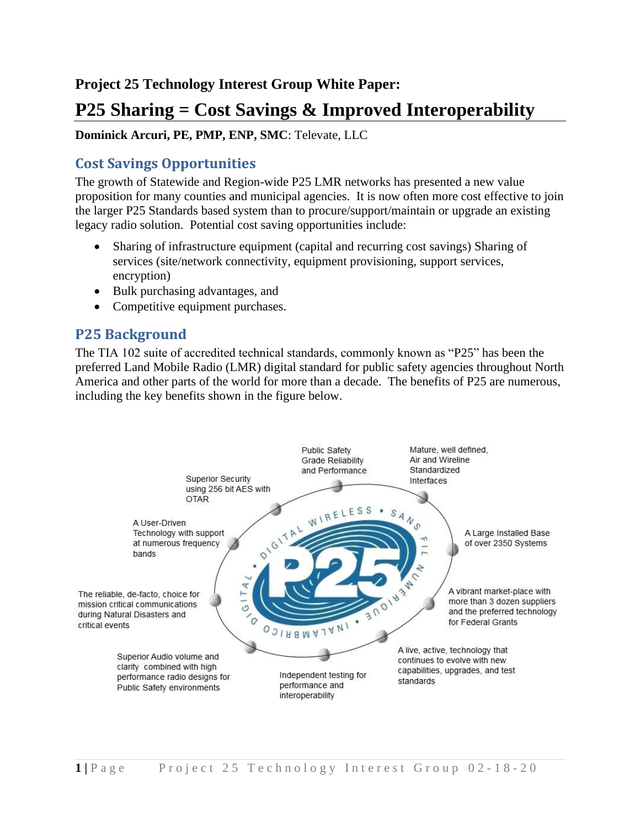## **Project 25 Technology Interest Group White Paper:**

# **P25 Sharing = Cost Savings & Improved Interoperability**

#### **Dominick Arcuri, PE, PMP, ENP, SMC**: Televate, LLC

## **Cost Savings Opportunities**

The growth of Statewide and Region-wide P25 LMR networks has presented a new value proposition for many counties and municipal agencies. It is now often more cost effective to join the larger P25 Standards based system than to procure/support/maintain or upgrade an existing legacy radio solution. Potential cost saving opportunities include:

- Sharing of infrastructure equipment (capital and recurring cost savings) Sharing of services (site/network connectivity, equipment provisioning, support services, encryption)
- Bulk purchasing advantages, and
- Competitive equipment purchases.

## **P25 Background**

The TIA 102 suite of accredited technical standards, commonly known as "P25" has been the preferred Land Mobile Radio (LMR) digital standard for public safety agencies throughout North America and other parts of the world for more than a decade. The benefits of P25 are numerous, including the key benefits shown in the figure below.

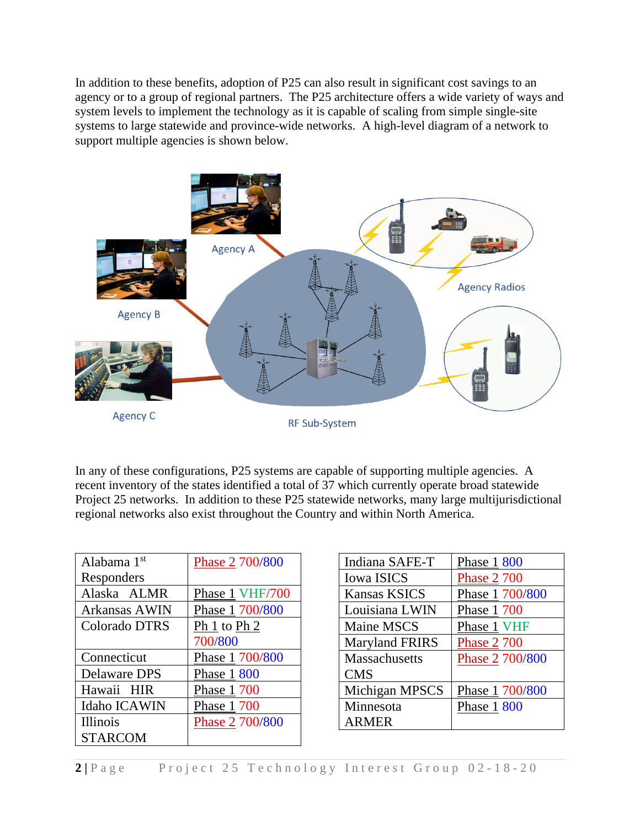In addition to these benefits, adoption of P25 can also result in significant cost savings to an agency or to a group of regional partners. The P25 architecture offers a wide variety of ways and system levels to implement the technology as it is capable of scaling from simple single-site systems to large statewide and province-wide networks. A high-level diagram of a network to support multiple agencies is shown below.



In any of these configurations, P25 systems are capable of supporting multiple agencies. A recent inventory of the states identified a total of 37 which currently operate broad statewide Project 25 networks. In addition to these P25 statewide networks, many large multijurisdictional regional networks also exist throughout the Country and within North America.

| Alabama 1 <sup>st</sup> | Phase 2 700/800 |
|-------------------------|-----------------|
| Responders              |                 |
| Alaska ALMR             | Phase 1 VHF/700 |
| Arkansas AWIN           | Phase 1 700/800 |
| Colorado DTRS           | Ph 1 to Ph 2    |
|                         | 700/800         |
| Connecticut             | Phase 1 700/800 |
| Delaware DPS            | Phase 1 800     |
| Hawaii HIR              | Phase 1 700     |
| Idaho ICAWIN            | Phase 1 700     |
|                         |                 |
| <b>Illinois</b>         | Phase 2 700/800 |

| Indiana SAFE-T        | Phase 1 800        |
|-----------------------|--------------------|
| <b>Iowa ISICS</b>     | <b>Phase 2 700</b> |
| <b>Kansas KSICS</b>   | Phase 1 700/800    |
| Louisiana LWIN        | Phase 1 700        |
| Maine MSCS            | Phase 1 VHF        |
| <b>Maryland FRIRS</b> | <b>Phase 2 700</b> |
| <b>Massachusetts</b>  | Phase 2 700/800    |
| <b>CMS</b>            |                    |
| Michigan MPSCS        | Phase 1 700/800    |
| Minnesota             | Phase 1 800        |
| <b>ARMER</b>          |                    |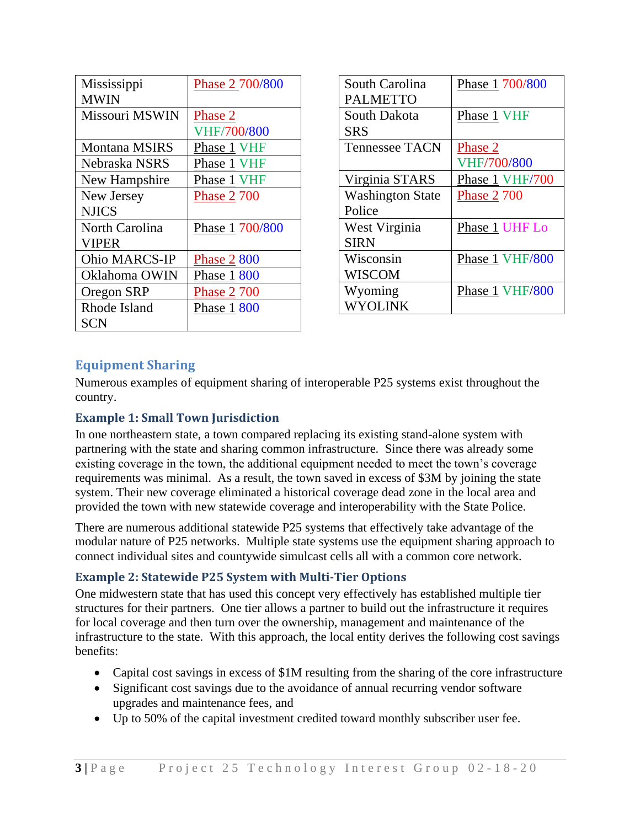| Mississippi          | Phase 2 700/800    |
|----------------------|--------------------|
| <b>MWIN</b>          |                    |
| Missouri MSWIN       | Phase 2            |
|                      | <b>VHF/700/800</b> |
| <b>Montana MSIRS</b> | Phase 1 VHF        |
| Nebraska NSRS        | Phase 1 VHF        |
| New Hampshire        | Phase 1 VHF        |
| New Jersey           | <b>Phase 2 700</b> |
| <b>NJICS</b>         |                    |
| North Carolina       | Phase 1 700/800    |
| <b>VIPER</b>         |                    |
| <b>Ohio MARCS-IP</b> | <u>Phase 2</u> 800 |
| Oklahoma OWIN        | Phase 1 800        |
| Oregon SRP           | <b>Phase 2 700</b> |
| Rhode Island         | Phase 1 800        |
| SCN                  |                    |

| South Carolina          | Phase 1 700/800    |
|-------------------------|--------------------|
| <b>PALMETTO</b>         |                    |
| South Dakota            | Phase 1 VHF        |
| <b>SRS</b>              |                    |
| <b>Tennessee TACN</b>   | Phase 2            |
|                         | <b>VHF/700/800</b> |
| Virginia STARS          | Phase 1 VHF/700    |
| <b>Washington State</b> | <b>Phase 2 700</b> |
| Police                  |                    |
| West Virginia           | Phase 1 UHF Lo     |
| <b>SIRN</b>             |                    |
| Wisconsin               | Phase 1 VHF/800    |
| <b>WISCOM</b>           |                    |
| Wyoming                 | Phase 1 VHF/800    |
| WYOLINK                 |                    |

### **Equipment Sharing**

Numerous examples of equipment sharing of interoperable P25 systems exist throughout the country.

#### **Example 1: Small Town Jurisdiction**

In one northeastern state, a town compared replacing its existing stand-alone system with partnering with the state and sharing common infrastructure. Since there was already some existing coverage in the town, the additional equipment needed to meet the town's coverage requirements was minimal. As a result, the town saved in excess of \$3M by joining the state system. Their new coverage eliminated a historical coverage dead zone in the local area and provided the town with new statewide coverage and interoperability with the State Police.

There are numerous additional statewide P25 systems that effectively take advantage of the modular nature of P25 networks. Multiple state systems use the equipment sharing approach to connect individual sites and countywide simulcast cells all with a common core network.

#### **Example 2: Statewide P25 System with Multi-Tier Options**

One midwestern state that has used this concept very effectively has established multiple tier structures for their partners. One tier allows a partner to build out the infrastructure it requires for local coverage and then turn over the ownership, management and maintenance of the infrastructure to the state. With this approach, the local entity derives the following cost savings benefits:

- Capital cost savings in excess of \$1M resulting from the sharing of the core infrastructure
- Significant cost savings due to the avoidance of annual recurring vendor software upgrades and maintenance fees, and
- Up to 50% of the capital investment credited toward monthly subscriber user fee.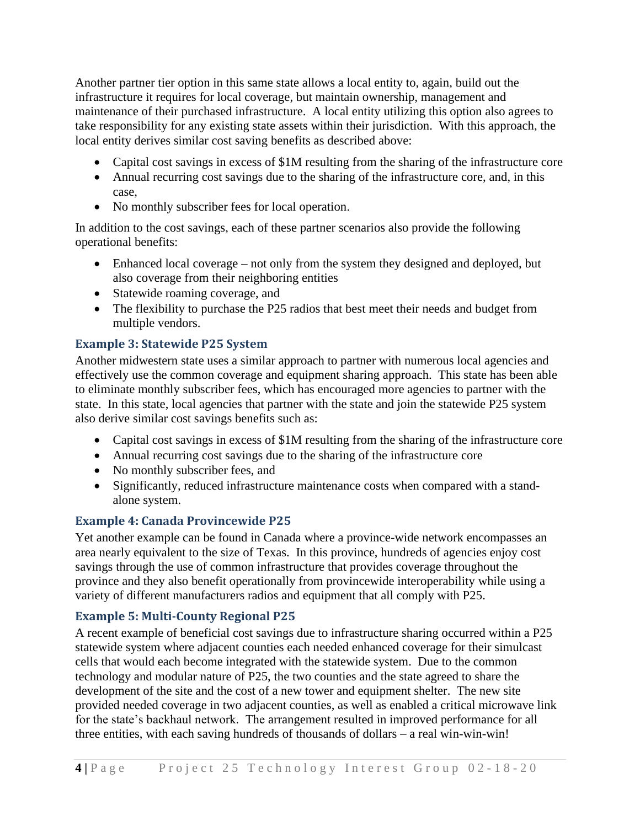Another partner tier option in this same state allows a local entity to, again, build out the infrastructure it requires for local coverage, but maintain ownership, management and maintenance of their purchased infrastructure. A local entity utilizing this option also agrees to take responsibility for any existing state assets within their jurisdiction. With this approach, the local entity derives similar cost saving benefits as described above:

- Capital cost savings in excess of \$1M resulting from the sharing of the infrastructure core
- Annual recurring cost savings due to the sharing of the infrastructure core, and, in this case,
- No monthly subscriber fees for local operation.

In addition to the cost savings, each of these partner scenarios also provide the following operational benefits:

- Enhanced local coverage not only from the system they designed and deployed, but also coverage from their neighboring entities
- Statewide roaming coverage, and
- The flexibility to purchase the P25 radios that best meet their needs and budget from multiple vendors.

#### **Example 3: Statewide P25 System**

Another midwestern state uses a similar approach to partner with numerous local agencies and effectively use the common coverage and equipment sharing approach. This state has been able to eliminate monthly subscriber fees, which has encouraged more agencies to partner with the state. In this state, local agencies that partner with the state and join the statewide P25 system also derive similar cost savings benefits such as:

- Capital cost savings in excess of \$1M resulting from the sharing of the infrastructure core
- Annual recurring cost savings due to the sharing of the infrastructure core
- No monthly subscriber fees, and
- Significantly, reduced infrastructure maintenance costs when compared with a standalone system.

#### **Example 4: Canada Provincewide P25**

Yet another example can be found in Canada where a province-wide network encompasses an area nearly equivalent to the size of Texas. In this province, hundreds of agencies enjoy cost savings through the use of common infrastructure that provides coverage throughout the province and they also benefit operationally from provincewide interoperability while using a variety of different manufacturers radios and equipment that all comply with P25.

#### **Example 5: Multi-County Regional P25**

A recent example of beneficial cost savings due to infrastructure sharing occurred within a P25 statewide system where adjacent counties each needed enhanced coverage for their simulcast cells that would each become integrated with the statewide system. Due to the common technology and modular nature of P25, the two counties and the state agreed to share the development of the site and the cost of a new tower and equipment shelter. The new site provided needed coverage in two adjacent counties, as well as enabled a critical microwave link for the state's backhaul network. The arrangement resulted in improved performance for all three entities, with each saving hundreds of thousands of dollars – a real win-win-win!